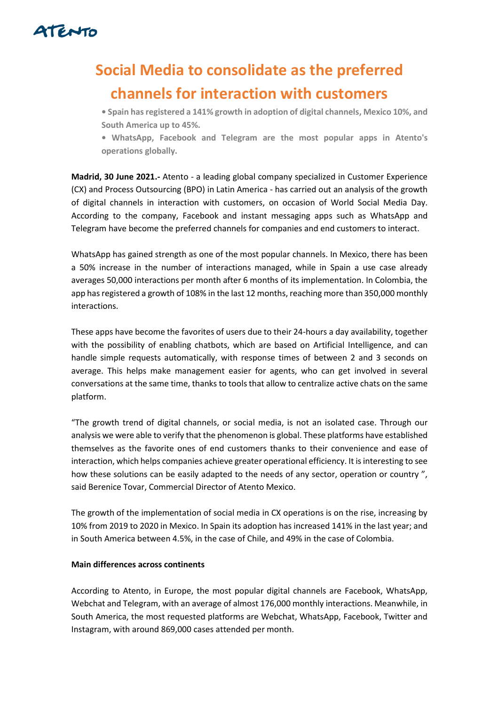

# **Social Media to consolidate as the preferred channels for interaction with customers**

**• Spain has registered a 141% growth in adoption of digital channels, Mexico 10%, and South America up to 45%.**

**• WhatsApp, Facebook and Telegram are the most popular apps in Atento's operations globally.**

**Madrid, 30 June 2021.-** Atento - a leading global company specialized in Customer Experience (CX) and Process Outsourcing (BPO) in Latin America - has carried out an analysis of the growth of digital channels in interaction with customers, on occasion of World Social Media Day. According to the company, Facebook and instant messaging apps such as WhatsApp and Telegram have become the preferred channels for companies and end customers to interact.

WhatsApp has gained strength as one of the most popular channels. In Mexico, there has been a 50% increase in the number of interactions managed, while in Spain a use case already averages 50,000 interactions per month after 6 months of its implementation. In Colombia, the app has registered a growth of 108% in the last 12 months, reaching more than 350,000 monthly interactions.

These apps have become the favorites of users due to their 24-hours a day availability, together with the possibility of enabling chatbots, which are based on Artificial Intelligence, and can handle simple requests automatically, with response times of between 2 and 3 seconds on average. This helps make management easier for agents, who can get involved in several conversations at the same time, thanks to tools that allow to centralize active chats on the same platform.

"The growth trend of digital channels, or social media, is not an isolated case. Through our analysis we were able to verify that the phenomenon is global. These platforms have established themselves as the favorite ones of end customers thanks to their convenience and ease of interaction, which helps companies achieve greater operational efficiency. It is interesting to see how these solutions can be easily adapted to the needs of any sector, operation or country ", said Berenice Tovar, Commercial Director of Atento Mexico.

The growth of the implementation of social media in CX operations is on the rise, increasing by 10% from 2019 to 2020 in Mexico. In Spain its adoption has increased 141% in the last year; and in South America between 4.5%, in the case of Chile, and 49% in the case of Colombia.

# **Main differences across continents**

According to Atento, in Europe, the most popular digital channels are Facebook, WhatsApp, Webchat and Telegram, with an average of almost 176,000 monthly interactions. Meanwhile, in South America, the most requested platforms are Webchat, WhatsApp, Facebook, Twitter and Instagram, with around 869,000 cases attended per month.